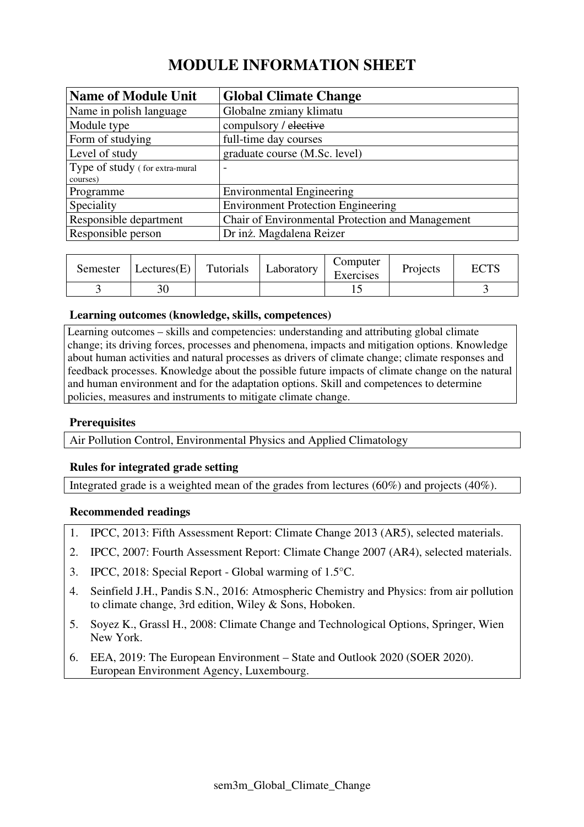# **MODULE INFORMATION SHEET**

| <b>Name of Module Unit</b>     | <b>Global Climate Change</b>                     |
|--------------------------------|--------------------------------------------------|
| Name in polish language        | Globalne zmiany klimatu                          |
| Module type                    | compulsory / elective                            |
| Form of studying               | full-time day courses                            |
| Level of study                 | graduate course (M.Sc. level)                    |
| Type of study (for extra-mural | $\overline{\phantom{0}}$                         |
| courses)                       |                                                  |
| Programme                      | <b>Environmental Engineering</b>                 |
| Speciality                     | <b>Environment Protection Engineering</b>        |
| Responsible department         | Chair of Environmental Protection and Management |
| Responsible person             | Dr inż. Magdalena Reizer                         |

| Semester | Lectures(E) | Tutorials | Laboratory | Computer<br>Exercises | Projects | $\Gamma\cap$ TC<br>EU 12 |
|----------|-------------|-----------|------------|-----------------------|----------|--------------------------|
|          | າ ດ         |           |            |                       |          |                          |

## **Learning outcomes (knowledge, skills, competences)**

Learning outcomes – skills and competencies: understanding and attributing global climate change; its driving forces, processes and phenomena, impacts and mitigation options. Knowledge about human activities and natural processes as drivers of climate change; climate responses and feedback processes. Knowledge about the possible future impacts of climate change on the natural and human environment and for the adaptation options. Skill and competences to determine policies, measures and instruments to mitigate climate change.

# **Prerequisites**

Air Pollution Control, Environmental Physics and Applied Climatology

# **Rules for integrated grade setting**

Integrated grade is a weighted mean of the grades from lectures (60%) and projects (40%).

#### **Recommended readings**

- 1. IPCC, 2013: Fifth Assessment Report: Climate Change 2013 (AR5), selected materials.
- 2. IPCC, 2007: Fourth Assessment Report: Climate Change 2007 (AR4), selected materials.
- 3. IPCC, 2018: Special Report Global warming of 1.5°C.
- 4. Seinfield J.H., Pandis S.N., 2016: Atmospheric Chemistry and Physics: from air pollution to climate change, 3rd edition, Wiley & Sons, Hoboken.
- 5. Soyez K., Grassl H., 2008: Climate Change and Technological Options, Springer, Wien New York.
- 6. EEA, 2019: The European Environment State and Outlook 2020 (SOER 2020). European Environment Agency, Luxembourg.